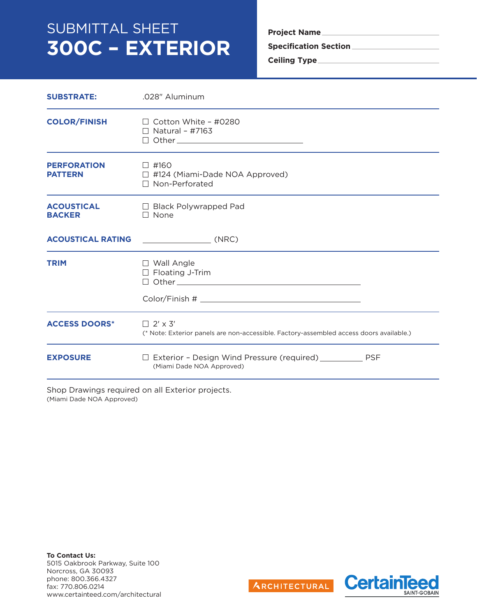# SUBMITTAL SHEET **300C – EXTERIOR**

**Project Name**

**Specification Section**

**Ceiling Type**

| <b>SUBSTRATE:</b>                    | .028" Aluminum                                                                                            |  |  |
|--------------------------------------|-----------------------------------------------------------------------------------------------------------|--|--|
| <b>COLOR/FINISH</b>                  | $\Box$ Cotton White - #0280<br>$\Box$ Natural - #7163                                                     |  |  |
| <b>PERFORATION</b><br><b>PATTERN</b> | $\Box$ #160<br>$\Box$ #124 (Miami-Dade NOA Approved)<br>□ Non-Perforated                                  |  |  |
| <b>ACOUSTICAL</b><br><b>BACKER</b>   | $\Box$ Black Polywrapped Pad<br>$\Box$ None                                                               |  |  |
| <b>ACOUSTICAL RATING</b>             | $\sqrt{C}$ (NRC)                                                                                          |  |  |
| <b>TRIM</b>                          | $\Box$ Wall Angle<br>$\Box$ Floating J-Trim<br>Color/Finish #                                             |  |  |
| <b>ACCESS DOORS*</b>                 | $\Box$ 2' x 3'<br>(* Note: Exterior panels are non-accessible. Factory-assembled access doors available.) |  |  |
| <b>EXPOSURE</b>                      | □ Exterior - Design Wind Pressure (required) ______________ PSF<br>(Miami Dade NOA Approved)              |  |  |

Shop Drawings required on all Exterior projects. (Miami Dade NOA Approved)